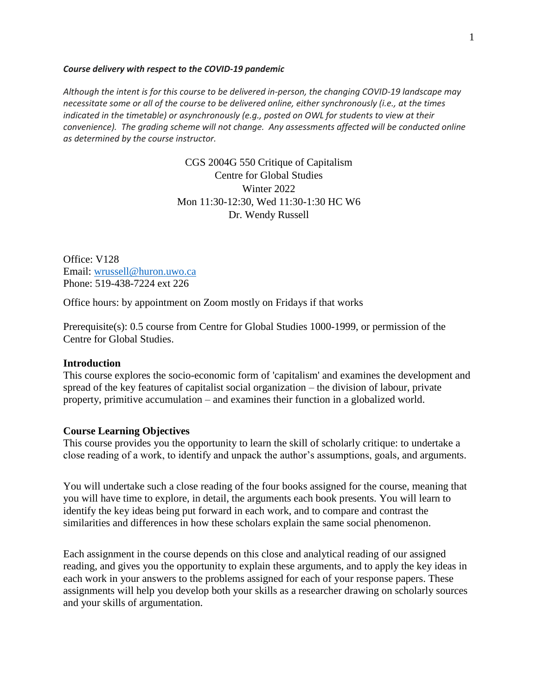#### *Course delivery with respect to the COVID-19 pandemic*

*Although the intent is for this course to be delivered in-person, the changing COVID-19 landscape may necessitate some or all of the course to be delivered online, either synchronously (i.e., at the times indicated in the timetable) or asynchronously (e.g., posted on OWL for students to view at their convenience). The grading scheme will not change. Any assessments affected will be conducted online as determined by the course instructor.*

> CGS 2004G 550 Critique of Capitalism Centre for Global Studies Winter 2022 Mon 11:30-12:30, Wed 11:30-1:30 HC W6 Dr. Wendy Russell

Office: V128 Email: [wrussell@huron.uwo.ca](mailto:wrussell@huron.uwo.ca)  Phone: 519-438-7224 ext 226

Office hours: by appointment on Zoom mostly on Fridays if that works

Prerequisite(s): 0.5 course from Centre for Global Studies 1000-1999, or permission of the Centre for Global Studies.

#### **Introduction**

This course explores the socio-economic form of 'capitalism' and examines the development and spread of the key features of capitalist social organization – the division of labour, private property, primitive accumulation – and examines their function in a globalized world.

### **Course Learning Objectives**

This course provides you the opportunity to learn the skill of scholarly critique: to undertake a close reading of a work, to identify and unpack the author's assumptions, goals, and arguments.

You will undertake such a close reading of the four books assigned for the course, meaning that you will have time to explore, in detail, the arguments each book presents. You will learn to identify the key ideas being put forward in each work, and to compare and contrast the similarities and differences in how these scholars explain the same social phenomenon.

Each assignment in the course depends on this close and analytical reading of our assigned reading, and gives you the opportunity to explain these arguments, and to apply the key ideas in each work in your answers to the problems assigned for each of your response papers. These assignments will help you develop both your skills as a researcher drawing on scholarly sources and your skills of argumentation.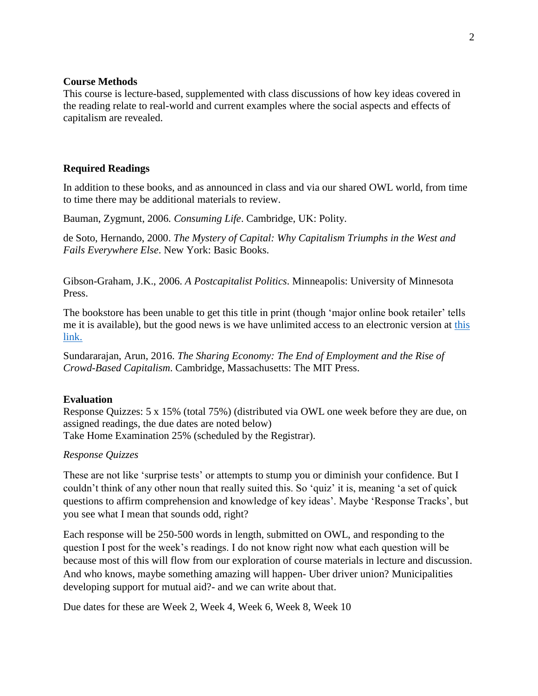### **Course Methods**

This course is lecture-based, supplemented with class discussions of how key ideas covered in the reading relate to real-world and current examples where the social aspects and effects of capitalism are revealed.

### **Required Readings**

In addition to these books, and as announced in class and via our shared OWL world, from time to time there may be additional materials to review.

Bauman, Zygmunt, 2006*. Consuming Life*. Cambridge, UK: Polity.

de Soto, Hernando, 2000. *The Mystery of Capital: Why Capitalism Triumphs in the West and Fails Everywhere Else*. New York: Basic Books.

Gibson-Graham, J.K., 2006. *A Postcapitalist Politics*. Minneapolis: University of Minnesota Press.

The bookstore has been unable to get this title in print (though 'major online book retailer' tells me it is available), but the good news is we have unlimited access to an electronic version at [this](https://ocul-uwo.primo.exlibrisgroup.com/permalink/01OCUL_UWO/r0c2m8/alma991044420297405163)  [link.](https://ocul-uwo.primo.exlibrisgroup.com/permalink/01OCUL_UWO/r0c2m8/alma991044420297405163)

Sundararajan, Arun, 2016. *The Sharing Economy: The End of Employment and the Rise of Crowd-Based Capitalism*. Cambridge, Massachusetts: The MIT Press.

#### **Evaluation**

Response Quizzes: 5 x 15% (total 75%) (distributed via OWL one week before they are due, on assigned readings, the due dates are noted below) Take Home Examination 25% (scheduled by the Registrar).

#### *Response Quizzes*

These are not like 'surprise tests' or attempts to stump you or diminish your confidence. But I couldn't think of any other noun that really suited this. So 'quiz' it is, meaning 'a set of quick questions to affirm comprehension and knowledge of key ideas'. Maybe 'Response Tracks', but you see what I mean that sounds odd, right?

Each response will be 250-500 words in length, submitted on OWL, and responding to the question I post for the week's readings. I do not know right now what each question will be because most of this will flow from our exploration of course materials in lecture and discussion. And who knows, maybe something amazing will happen- Uber driver union? Municipalities developing support for mutual aid?- and we can write about that.

Due dates for these are Week 2, Week 4, Week 6, Week 8, Week 10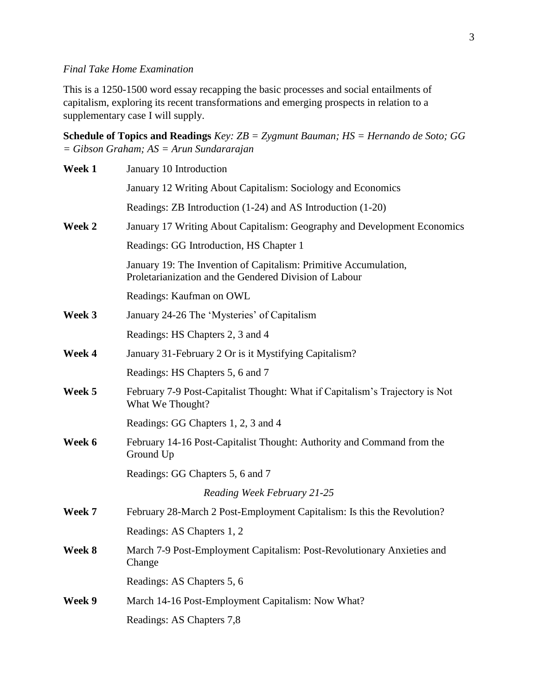# *Final Take Home Examination*

This is a 1250-1500 word essay recapping the basic processes and social entailments of capitalism, exploring its recent transformations and emerging prospects in relation to a supplementary case I will supply.

**Schedule of Topics and Readings** *Key: ZB = Zygmunt Bauman; HS = Hernando de Soto; GG = Gibson Graham; AS = Arun Sundararajan*

| Week 1 | January 10 Introduction                                                                                                    |
|--------|----------------------------------------------------------------------------------------------------------------------------|
|        | January 12 Writing About Capitalism: Sociology and Economics                                                               |
|        | Readings: ZB Introduction (1-24) and AS Introduction (1-20)                                                                |
| Week 2 | January 17 Writing About Capitalism: Geography and Development Economics                                                   |
|        | Readings: GG Introduction, HS Chapter 1                                                                                    |
|        | January 19: The Invention of Capitalism: Primitive Accumulation,<br>Proletarianization and the Gendered Division of Labour |
|        | Readings: Kaufman on OWL                                                                                                   |
| Week 3 | January 24-26 The 'Mysteries' of Capitalism                                                                                |
|        | Readings: HS Chapters 2, 3 and 4                                                                                           |
| Week 4 | January 31-February 2 Or is it Mystifying Capitalism?                                                                      |
|        | Readings: HS Chapters 5, 6 and 7                                                                                           |
| Week 5 | February 7-9 Post-Capitalist Thought: What if Capitalism's Trajectory is Not<br>What We Thought?                           |
|        | Readings: GG Chapters 1, 2, 3 and 4                                                                                        |
| Week 6 | February 14-16 Post-Capitalist Thought: Authority and Command from the<br>Ground Up                                        |
|        | Readings: GG Chapters 5, 6 and 7                                                                                           |
|        | Reading Week February 21-25                                                                                                |
| Week 7 | February 28-March 2 Post-Employment Capitalism: Is this the Revolution?                                                    |
|        | Readings: AS Chapters 1, 2                                                                                                 |
| Week 8 | March 7-9 Post-Employment Capitalism: Post-Revolutionary Anxieties and<br>Change                                           |
|        | Readings: AS Chapters 5, 6                                                                                                 |
| Week 9 | March 14-16 Post-Employment Capitalism: Now What?                                                                          |
|        | Readings: AS Chapters 7,8                                                                                                  |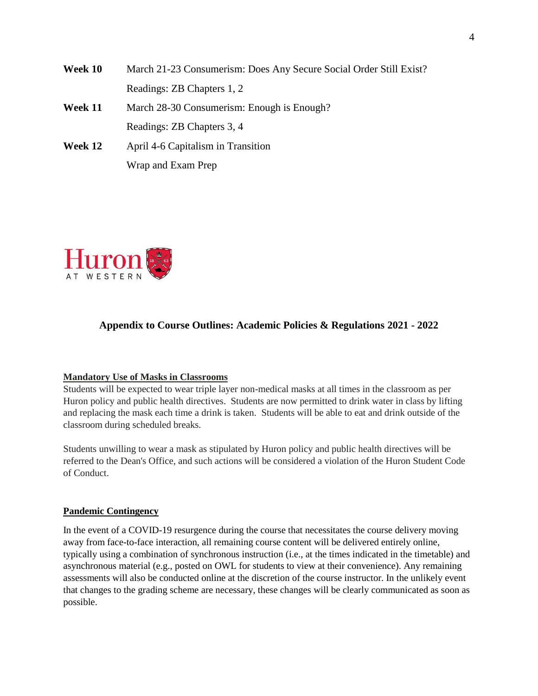**Week 10** March 21-23 Consumerism: Does Any Secure Social Order Still Exist? Readings: ZB Chapters 1, 2 **Week 11** March 28-30 Consumerism: Enough is Enough? Readings: ZB Chapters 3, 4 **Week 12** April 4-6 Capitalism in Transition Wrap and Exam Prep



# **Appendix to Course Outlines: Academic Policies & Regulations 2021 - 2022**

### **Mandatory Use of Masks in Classrooms**

Students will be expected to wear triple layer non-medical masks at all times in the classroom as per Huron policy and public health directives. Students are now permitted to drink water in class by lifting and replacing the mask each time a drink is taken. Students will be able to eat and drink outside of the classroom during scheduled breaks.

Students unwilling to wear a mask as stipulated by Huron policy and public health directives will be referred to the Dean's Office, and such actions will be considered a violation of the Huron Student Code of Conduct.

#### **Pandemic Contingency**

In the event of a COVID-19 resurgence during the course that necessitates the course delivery moving away from face-to-face interaction, all remaining course content will be delivered entirely online, typically using a combination of synchronous instruction (i.e., at the times indicated in the timetable) and asynchronous material (e.g., posted on OWL for students to view at their convenience). Any remaining assessments will also be conducted online at the discretion of the course instructor. In the unlikely event that changes to the grading scheme are necessary, these changes will be clearly communicated as soon as possible.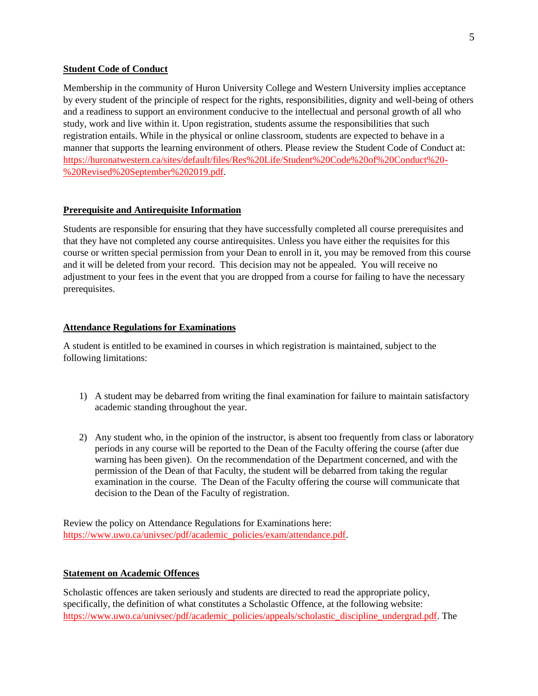### **Student Code of Conduct**

Membership in the community of Huron University College and Western University implies acceptance by every student of the principle of respect for the rights, responsibilities, dignity and well-being of others and a readiness to support an environment conducive to the intellectual and personal growth of all who study, work and live within it. Upon registration, students assume the responsibilities that such registration entails. While in the physical or online classroom, students are expected to behave in a manner that supports the learning environment of others. Please review the Student Code of Conduct at: [https://huronatwestern.ca/sites/default/files/Res%20Life/Student%20Code%20of%20Conduct%20-](https://huronatwestern.ca/sites/default/files/Res%20Life/Student%20Code%20of%20Conduct%20-%20Revised%20September%202019.pdf) [%20Revised%20September%202019.pdf.](https://huronatwestern.ca/sites/default/files/Res%20Life/Student%20Code%20of%20Conduct%20-%20Revised%20September%202019.pdf)

#### **Prerequisite and Antirequisite Information**

Students are responsible for ensuring that they have successfully completed all course prerequisites and that they have not completed any course antirequisites. Unless you have either the requisites for this course or written special permission from your Dean to enroll in it, you may be removed from this course and it will be deleted from your record. This decision may not be appealed. You will receive no adjustment to your fees in the event that you are dropped from a course for failing to have the necessary prerequisites.

#### **Attendance Regulations for Examinations**

A student is entitled to be examined in courses in which registration is maintained, subject to the following limitations:

- 1) A student may be debarred from writing the final examination for failure to maintain satisfactory academic standing throughout the year.
- 2) Any student who, in the opinion of the instructor, is absent too frequently from class or laboratory periods in any course will be reported to the Dean of the Faculty offering the course (after due warning has been given). On the recommendation of the Department concerned, and with the permission of the Dean of that Faculty, the student will be debarred from taking the regular examination in the course. The Dean of the Faculty offering the course will communicate that decision to the Dean of the Faculty of registration.

Review the policy on Attendance Regulations for Examinations here: [https://www.uwo.ca/univsec/pdf/academic\\_policies/exam/attendance.pdf.](https://www.uwo.ca/univsec/pdf/academic_policies/exam/attendance.pdf)

#### **Statement on Academic Offences**

Scholastic offences are taken seriously and students are directed to read the appropriate policy, specifically, the definition of what constitutes a Scholastic Offence, at the following website: [https://www.uwo.ca/univsec/pdf/academic\\_policies/appeals/scholastic\\_discipline\\_undergrad.pdf.](https://www.uwo.ca/univsec/pdf/academic_policies/appeals/scholastic_discipline_undergrad.pdf) The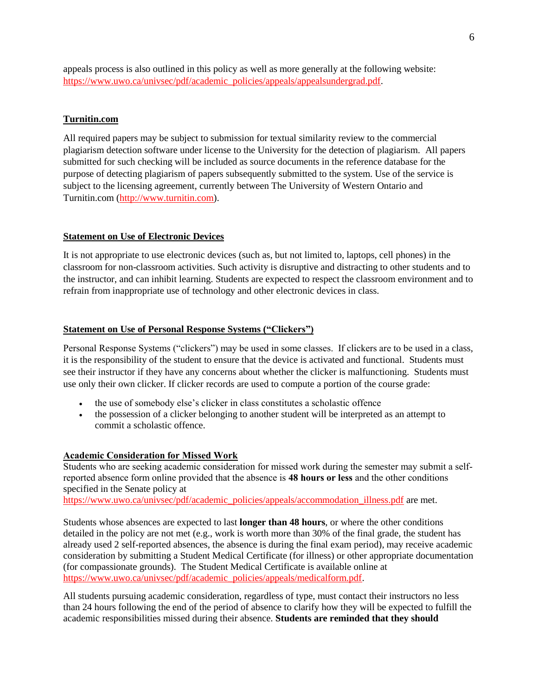appeals process is also outlined in this policy as well as more generally at the following website: [https://www.uwo.ca/univsec/pdf/academic\\_policies/appeals/appealsundergrad.pdf.](https://www.uwo.ca/univsec/pdf/academic_policies/appeals/appealsundergrad.pdf)

### **Turnitin.com**

All required papers may be subject to submission for textual similarity review to the commercial plagiarism detection software under license to the University for the detection of plagiarism. All papers submitted for such checking will be included as source documents in the reference database for the purpose of detecting plagiarism of papers subsequently submitted to the system. Use of the service is subject to the licensing agreement, currently between The University of Western Ontario and Turnitin.com [\(http://www.turnitin.com\)](http://www.turnitin.com/).

### **Statement on Use of Electronic Devices**

It is not appropriate to use electronic devices (such as, but not limited to, laptops, cell phones) in the classroom for non-classroom activities. Such activity is disruptive and distracting to other students and to the instructor, and can inhibit learning. Students are expected to respect the classroom environment and to refrain from inappropriate use of technology and other electronic devices in class.

## **Statement on Use of Personal Response Systems ("Clickers")**

Personal Response Systems ("clickers") may be used in some classes. If clickers are to be used in a class, it is the responsibility of the student to ensure that the device is activated and functional. Students must see their instructor if they have any concerns about whether the clicker is malfunctioning. Students must use only their own clicker. If clicker records are used to compute a portion of the course grade:

- the use of somebody else's clicker in class constitutes a scholastic offence
- the possession of a clicker belonging to another student will be interpreted as an attempt to commit a scholastic offence.

### **Academic Consideration for Missed Work**

Students who are seeking academic consideration for missed work during the semester may submit a selfreported absence form online provided that the absence is **48 hours or less** and the other conditions specified in the Senate policy at

[https://www.uwo.ca/univsec/pdf/academic\\_policies/appeals/accommodation\\_illness.pdf](https://www.uwo.ca/univsec/pdf/academic_policies/appeals/accommodation_illness.pdf) are met.

Students whose absences are expected to last **longer than 48 hours**, or where the other conditions detailed in the policy are not met (e.g., work is worth more than 30% of the final grade, the student has already used 2 self-reported absences, the absence is during the final exam period), may receive academic consideration by submitting a Student Medical Certificate (for illness) or other appropriate documentation (for compassionate grounds). The Student Medical Certificate is available online at [https://www.uwo.ca/univsec/pdf/academic\\_policies/appeals/medicalform.pdf.](https://www.uwo.ca/univsec/pdf/academic_policies/appeals/medicalform.pdf)

All students pursuing academic consideration, regardless of type, must contact their instructors no less than 24 hours following the end of the period of absence to clarify how they will be expected to fulfill the academic responsibilities missed during their absence. **Students are reminded that they should**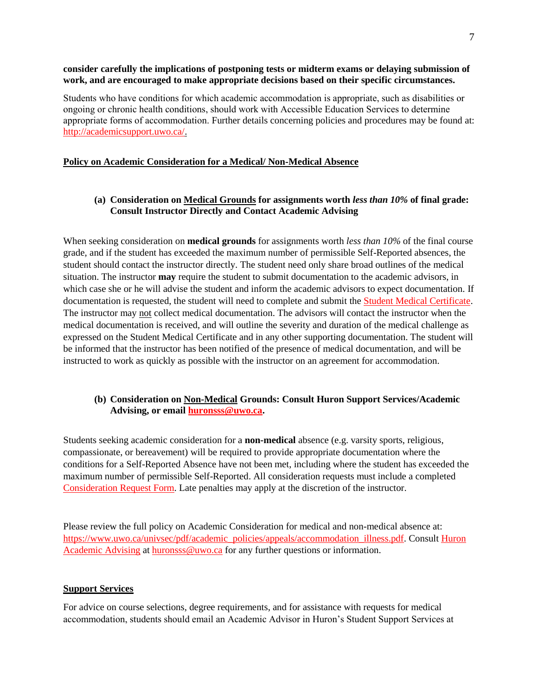#### **consider carefully the implications of postponing tests or midterm exams or delaying submission of work, and are encouraged to make appropriate decisions based on their specific circumstances.**

Students who have conditions for which academic accommodation is appropriate, such as disabilities or ongoing or chronic health conditions, should work with Accessible Education Services to determine appropriate forms of accommodation. Further details concerning policies and procedures may be found at: [http://academicsupport.uwo.ca/.](http://academicsupport.uwo.ca/)

#### **Policy on Academic Consideration for a Medical/ Non-Medical Absence**

### **(a) Consideration on Medical Grounds for assignments worth** *less than 10%* **of final grade: Consult Instructor Directly and Contact Academic Advising**

When seeking consideration on **medical grounds** for assignments worth *less than 10%* of the final course grade, and if the student has exceeded the maximum number of permissible Self-Reported absences, the student should contact the instructor directly. The student need only share broad outlines of the medical situation. The instructor **may** require the student to submit documentation to the academic advisors, in which case she or he will advise the student and inform the academic advisors to expect documentation. If documentation is requested, the student will need to complete and submit the [Student Medical Certificate.](https://www.uwo.ca/univsec/pdf/academic_policies/appeals/medicalform_15JUN.pdf) The instructor may not collect medical documentation. The advisors will contact the instructor when the medical documentation is received, and will outline the severity and duration of the medical challenge as expressed on the Student Medical Certificate and in any other supporting documentation. The student will be informed that the instructor has been notified of the presence of medical documentation, and will be instructed to work as quickly as possible with the instructor on an agreement for accommodation.

### **(b) Consideration on Non-Medical Grounds: Consult Huron Support Services/Academic Advising, or email [huronsss@uwo.ca.](mailto:huronsss@uwo.ca)**

Students seeking academic consideration for a **non-medical** absence (e.g. varsity sports, religious, compassionate, or bereavement) will be required to provide appropriate documentation where the conditions for a Self-Reported Absence have not been met, including where the student has exceeded the maximum number of permissible Self-Reported. All consideration requests must include a completed [Consideration Request Form.](https://huronatwestern.ca/sites/default/files/Forms/Academic%20Consideration%20Request%20Form%202020.pdf) Late penalties may apply at the discretion of the instructor.

Please review the full policy on Academic Consideration for medical and non-medical absence at: [https://www.uwo.ca/univsec/pdf/academic\\_policies/appeals/accommodation\\_illness.pdf.](https://www.uwo.ca/univsec/pdf/academic_policies/appeals/accommodation_illness.pdf) Consult [Huron](https://huronatwestern.ca/student-life/student-services/academic-advising/)  [Academic Advising](https://huronatwestern.ca/student-life/student-services/academic-advising/) at [huronsss@uwo.ca](mailto:huronsss@uwo.ca) for any further questions or information.

#### **Support Services**

For advice on course selections, degree requirements, and for assistance with requests for medical accommodation, students should email an Academic Advisor in Huron's Student Support Services at